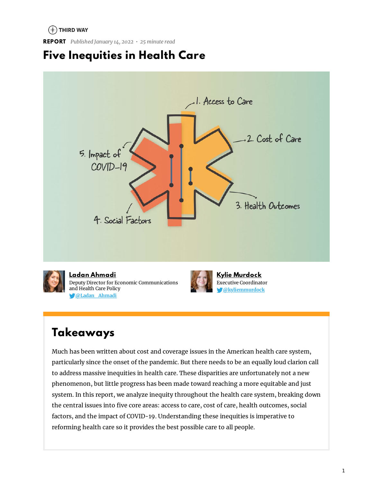### $(*)$  THIRD WAY

**REPORT** *Published January 14, 2022 • 25 minute read*

# **Five Inequities in Health Care**



# **Takeaways**

Much has been written about cost and coverage issues in the American health care system, particularly since the onset of the pandemic. But there needs to be an equally loud clarion call to address massive inequities in health care. These disparities are unfortunately not a new phenomenon, but little progress has been made toward reaching a more equitable and just system. In this report, we analyze inequity throughout the health care system, breaking down the central issues into five core areas: access to care, cost of care, health outcomes, social factors, and the impact of COVID-19. Understanding these inequities is imperative to reforming health care so it provides the best possible care to all people.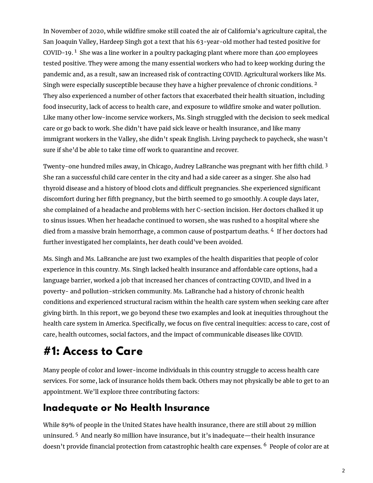In November of 2020, while wildfire smoke still coated the air of California's agriculture capital, the San Joaquin Valley, Hardeep Singh got a text that his 63-year-old mother had tested positive for COVID-19.  $^1$  She was a line worker in a poultry packaging plant where more than 400 employees tested positive. They were among the many essential workers who had to keep working during the pandemic and, as a result, saw an increased risk of contracting COVID. Agricultural workers like Ms. Singh were especially susceptible because they have a higher prevalence of chronic conditions. <sup>2</sup> They also experienced a number of other factors that exacerbated their health situation, including food insecurity, lack of access to health care, and exposure to wildfire smoke and water pollution. Like many other low-income service workers, Ms. Singh struggled with the decision to seek medical care or go back to work. She didn't have paid sick leave or health insurance, and like many immigrant workers in the Valley, she didn't speak English. Living paycheck to paycheck, she wasn't sure if she'd be able to take time off work to quarantine and recover.

Twenty-one hundred miles away, in Chicago, Audrey LaBranche was pregnant with her fifth child. 3 She ran a successful child care center in the city and had a side career as a singer. She also had thyroid disease and a history of blood clots and difficult pregnancies. She experienced significant discomfort during her fth pregnancy, but the birth seemed to go smoothly. A couple days later, she complained of a headache and problems with her C-section incision. Her doctors chalked it up to sinus issues. When her headache continued to worsen, she was rushed to a hospital where she died from a massive brain hemorrhage, a common cause of postpartum deaths. 4 If her doctors had further investigated her complaints, her death could've been avoided.

Ms. Singh and Ms. LaBranche are just two examples of the health disparities that people of color experience in this country. Ms. Singh lacked health insurance and affordable care options, had a language barrier, worked a job that increased her chances of contracting COVID, and lived in a poverty- and pollution-stricken community. Ms. LaBranche had a history of chronic health conditions and experienced structural racism within the health care system when seeking care after giving birth. In this report, we go beyond these two examples and look at inequities throughout the health care system in America. Specifically, we focus on five central inequities: access to care, cost of care, health outcomes, social factors, and the impact of communicable diseases like COVID.

# **#1: Access to Care**

Many people of color and lower-income individuals in this country struggle to access health care services. For some, lack of insurance holds them back. Others may not physically be able to get to an appointment. We'll explore three contributing factors:

### **Inadequate or No Health Insurance**

While 89% of people in the United States have health insurance, there are still about 29 million uninsured. <sup>5</sup> And nearly 80 million have insurance, but it's inadequate—their health insurance doesn't provide financial protection from catastrophic health care expenses. <sup>6</sup> People of color are at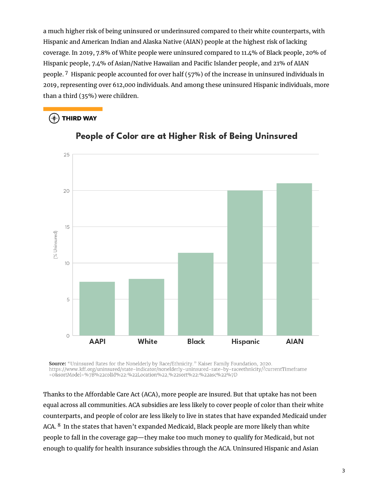a much higher risk of being uninsured or underinsured compared to their white counterparts, with Hispanic and American Indian and Alaska Native (AIAN) people at the highest risk of lacking coverage. In 2019, 7.8% of White people were uninsured compared to 11.4% of Black people, 20% of Hispanic people, 7.4% of Asian/Native Hawaiian and Pacific Islander people, and 21% of AIAN people. <sup>7</sup> Hispanic people accounted for over half (57%) of the increase in uninsured individuals in 2019, representing over 612,000 individuals. And among these uninsured Hispanic individuals, more than a third (35%) were children.

### $(\ast)$  THIRD WAY



### People of Color are at Higher Risk of Being Uninsured

**Source:** "Uninsured Rates for the Nonelderly by Race/Ethnicity." Kaiser Family Foundation, 2020. https://www.kff.org/uninsured/state-indicator/nonelderly-uninsured-rate-by-raceethnicity/?currentTimeframe =0&sortModel=%7B%22colId%22:%22Location%22,%22sort%22:%22asc%22%7D

Thanks to the Affordable Care Act (ACA), more people are insured. But that uptake has not been equal across all communities. ACA subsidies are less likely to cover people of color than their white counterparts, and people of color are less likely to live in states that have expanded Medicaid under ACA. <sup>8</sup> In the states that haven't expanded Medicaid, Black people are more likely than white people to fall in the coverage gap—they make too much money to qualify for Medicaid, but not enough to qualify for health insurance subsidies through the ACA. Uninsured Hispanic and Asian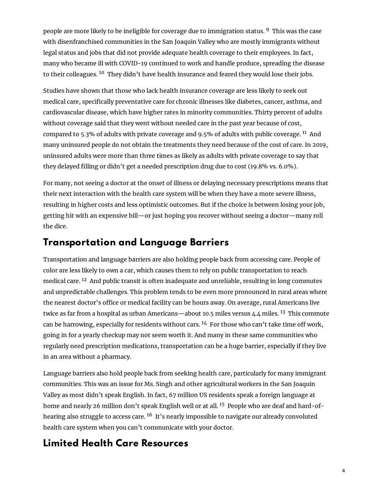people are more likely to be ineligible for coverage due to immigration status. <sup>9</sup> This was the case with disenfranchised communities in the San Joaquin Valley who are mostly immigrants without legal status and jobs that did not provide adequate health coverage to their employees. In fact, many who became ill with COVID-19 continued to work and handle produce, spreading the disease to their colleagues. <sup>10</sup> They didn't have health insurance and feared they would lose their jobs.

Studies have shown that those who lack health insurance coverage are less likely to seek out medical care, specifically preventative care for chronic illnesses like diabetes, cancer, asthma, and cardiovascular disease, which have higher rates in minority communities. Thirty percent of adults without coverage said that they went without needed care in the past year because of cost, compared to 5.3% of adults with private coverage and 9.5% of adults with public coverage.  $^{11}$  And many uninsured people do not obtain the treatments they need because of the cost of care. In 2019, uninsured adults were more than three times as likely as adults with private coverage to say that they delayed filling or didn't get a needed prescription drug due to cost (19.8% vs. 6.0%).

For many, not seeing a doctor at the onset of illness or delaying necessary prescriptions means that their next interaction with the health care system will be when they have a more severe illness, resulting in higher costs and less optimistic outcomes. But if the choice is between losing your job, getting hit with an expensive bill—or just hoping you recover without seeing a doctor—many roll the dice.

### **Transportation and Language Barriers**

Transportation and language barriers are also holding people back from accessing care. People of color are less likely to own a car, which causes them to rely on public transportation to reach medical care. <sup>12</sup> And public transit is often inadequate and unreliable, resulting in long commutes and unpredictable challenges. This problem tends to be even more pronounced in rural areas where the nearest doctor's office or medical facility can be hours away. On average, rural Americans live twice as far from a hospital as urban Americans—about 10.5 miles versus 4.4 miles. <sup>13</sup> This commute can be harrowing, especially for residents without cars.  $^{14}$  For those who can't take time off work, going in for a yearly checkup may not seem worth it. And many in these same communities who regularly need prescription medications, transportation can be a huge barrier, especially if they live in an area without a pharmacy.

Language barriers also hold people back from seeking health care, particularly for many immigrant communities. This was an issue for Ms. Singh and other agricultural workers in the San Joaquin Valley as most didn't speak English. In fact, 67 million US residents speak a foreign language at home and nearly 26 million don't speak English well or at all. <sup>15</sup> People who are deaf and hard-ofhearing also struggle to access care. <sup>16</sup> It's nearly impossible to navigate our already convoluted health care system when you can't communicate with your doctor.

### **Limited Health Care Resources**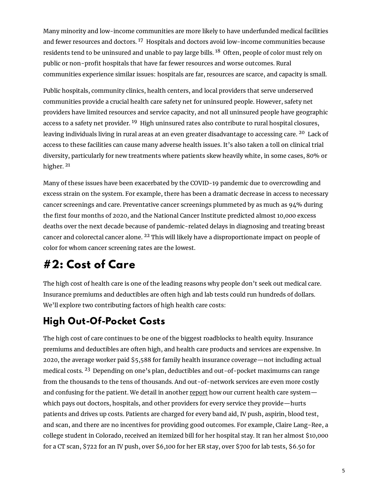Many minority and low-income communities are more likely to have underfunded medical facilities and fewer resources and doctors. <sup>17</sup> Hospitals and doctors avoid low-income communities because residents tend to be uninsured and unable to pay large bills. <sup>18</sup> Often, people of color must rely on public or non-profit hospitals that have far fewer resources and worse outcomes. Rural communities experience similar issues: hospitals are far, resources are scarce, and capacity is small.

Public hospitals, community clinics, health centers, and local providers that serve underserved communities provide a crucial health care safety net for uninsured people. However, safety net providers have limited resources and service capacity, and not all uninsured people have geographic access to a safety net provider. <sup>19</sup> High uninsured rates also contribute to rural hospital closures, leaving individuals living in rural areas at an even greater disadvantage to accessing care. <sup>20</sup> Lack of access to these facilities can cause many adverse health issues. It's also taken a toll on clinical trial diversity, particularly for new treatments where patients skew heavily white, in some cases, 80% or higher. <sup>21</sup>

Many of these issues have been exacerbated by the COVID-19 pandemic due to overcrowding and excess strain on the system. For example, there has been a dramatic decrease in access to necessary cancer screenings and care. Preventative cancer screenings plummeted by as much as 94% during the first four months of 2020, and the National Cancer Institute predicted almost 10,000 excess deaths over the next decade because of pandemic-related delays in diagnosing and treating breast cancer and colorectal cancer alone. <sup>22</sup> This will likely have a disproportionate impact on people of color for whom cancer screening rates are the lowest.

# **#2: Cost of Care**

The high cost of health care is one of the leading reasons why people don't seek out medical care. Insurance premiums and deductibles are often high and lab tests could run hundreds of dollars. We'll explore two contributing factors of high health care costs:

# **High Out-Of-Pocket Costs**

The high cost of care continues to be one of the biggest roadblocks to health equity. Insurance premiums and deductibles are often high, and health care products and services are expensive. In 2020, the average worker paid \$5,588 for family health insurance coverage—not including actual medical costs. <sup>23</sup> Depending on one's plan, deductibles and out-of-pocket maximums can range from the thousands to the tens of thousands. And out-of-network services are even more costly and confusing for the patient. We detail in another [report](https://www.thirdway.org/report/the-case-against-fee-for-service-health-care) how our current health care systemwhich pays out doctors, hospitals, and other providers for every service they provide—hurts patients and drives up costs. Patients are charged for every band aid, IV push, aspirin, blood test, and scan, and there are no incentives for providing good outcomes. For example, Claire Lang-Ree, a college student in Colorado, received an itemized bill for her hospital stay. It ran her almost \$10,000 for a CT scan, \$722 for an IV push, over \$6,100 for her ER stay, over \$700 for lab tests, \$6.50 for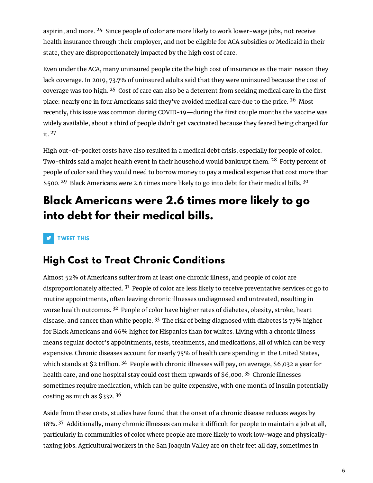aspirin, and more. <sup>24</sup> Since people of color are more likely to work lower-wage jobs, not receive health insurance through their employer, and not be eligible for ACA subsidies or Medicaid in their state, they are disproportionately impacted by the high cost of care.

Even under the ACA, many uninsured people cite the high cost of insurance as the main reason they lack coverage. In 2019, 73.7% of uninsured adults said that they were uninsured because the cost of coverage was too high.  $25$  Cost of care can also be a deterrent from seeking medical care in the first place: nearly one in four Americans said they've avoided medical care due to the price. <sup>26</sup> Most recently, this issue was common during COVID-19—during the first couple months the vaccine was widely available, about a third of people didn't get vaccinated because they feared being charged for it. <sup>27</sup>

High out-of-pocket costs have also resulted in a medical debt crisis, especially for people of color. Two-thirds said a major health event in their household would bankrupt them. <sup>28</sup> Forty percent of people of color said they would need to borrow money to pay a medical expense that cost more than \$500.<sup>29</sup> Black Americans were 2.6 times more likely to go into debt for their medical bills.<sup>30</sup>

# **Black Americans were 2.6 times more likely to go into debt for their medical bills.**

**TWEET THIS** 

### **High Cost to Treat Chronic Conditions**

Almost 52% of Americans suffer from at least one chronic illness, and people of color are disproportionately affected.  $31$  People of color are less likely to receive preventative services or go to routine appointments, often leaving chronic illnesses undiagnosed and untreated, resulting in worse health outcomes. <sup>32</sup> People of color have higher rates of diabetes, obesity, stroke, heart disease, and cancer than white people.  $33$  The risk of being diagnosed with diabetes is 77% higher for Black Americans and 66% higher for Hispanics than for whites. Living with a chronic illness means regular doctor's appointments, tests, treatments, and medications, all of which can be very expensive. Chronic diseases account for nearly 75% of health care spending in the United States, which stands at \$2 trillion. <sup>34</sup> People with chronic illnesses will pay, on average, \$6,032 a year for health care, and one hospital stay could cost them upwards of \$6,000. <sup>35</sup> Chronic illnesses sometimes require medication, which can be quite expensive, with one month of insulin potentially costing as much as \$332. <sup>36</sup>

Aside from these costs, studies have found that the onset of a chronic disease reduces wages by 18%. <sup>37</sup> Additionally, many chronic illnesses can make it difficult for people to maintain a job at all, particularly in communities of color where people are more likely to work low-wage and physicallytaxing jobs. Agricultural workers in the San Joaquin Valley are on their feet all day, sometimes in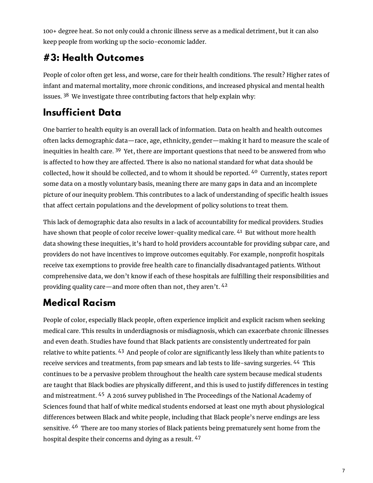100+ degree heat. So not only could a chronic illness serve as a medical detriment, but it can also keep people from working up the socio-economic ladder.

# **#3: Health Outcomes**

People of color often get less, and worse, care for their health conditions. The result? Higher rates of infant and maternal mortality, more chronic conditions, and increased physical and mental health issues.  $38$  We investigate three contributing factors that help explain why:

## **Insufficient Data**

One barrier to health equity is an overall lack of information. Data on health and health outcomes often lacks demographic data—race, age, ethnicity, gender—making it hard to measure the scale of inequities in health care. <sup>39</sup> Yet, there are important questions that need to be answered from who is affected to how they are affected. There is also no national standard for what data should be collected, how it should be collected, and to whom it should be reported. <sup>40</sup> Currently, states report some data on a mostly voluntary basis, meaning there are many gaps in data and an incomplete picture of our inequity problem. This contributes to a lack of understanding of specific health issues that affect certain populations and the development of policy solutions to treat them.

This lack of demographic data also results in a lack of accountability for medical providers. Studies have shown that people of color receive lower-quality medical care. <sup>41</sup> But without more health data showing these inequities, it's hard to hold providers accountable for providing subpar care, and providers do not have incentives to improve outcomes equitably. For example, nonprofit hospitals receive tax exemptions to provide free health care to financially disadvantaged patients. Without comprehensive data, we don't know if each of these hospitals are fulfilling their responsibilities and providing quality care—and more often than not, they aren't.  $42$ 

## **Medical Racism**

People of color, especially Black people, often experience implicit and explicit racism when seeking medical care. This results in underdiagnosis or misdiagnosis, which can exacerbate chronic illnesses and even death. Studies have found that Black patients are consistently undertreated for pain relative to white patients. <sup>43</sup> And people of color are significantly less likely than white patients to receive services and treatments, from pap smears and lab tests to life-saving surgeries. <sup>44</sup> This continues to be a pervasive problem throughout the health care system because medical students are taught that Black bodies are physically different, and this is used to justify differences in testing and mistreatment. <sup>45</sup> A 2016 survey published in The Proceedings of the National Academy of Sciences found that half of white medical students endorsed at least one myth about physiological differences between Black and white people, including that Black people's nerve endings are less sensitive. <sup>46</sup> There are too many stories of Black patients being prematurely sent home from the hospital despite their concerns and dying as a result. <sup>47</sup>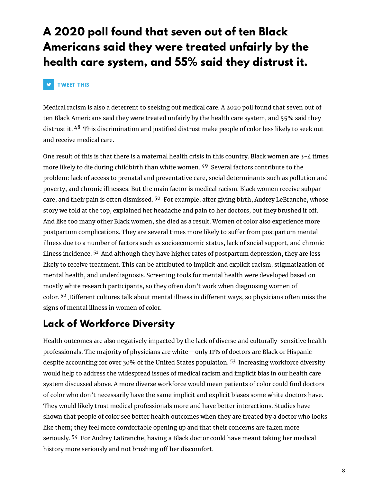# **A 2020 poll found that seven out of ten Black Americans said they were treated unfairly by the health care system, and 55% said they distrust it.**

#### **V TWEET T HIS**

Medical racism is also a deterrent to seeking out medical care. A 2020 poll found that seven out of ten Black Americans said they were treated unfairly by the health care system, and 55% said they distrust it. <sup>48</sup> This discrimination and justified distrust make people of color less likely to seek out and receive medical care.

One result of this is that there is a maternal health crisis in this country. Black women are  $3-4$  times more likely to die during childbirth than white women. <sup>49</sup> Several factors contribute to the problem: lack of access to prenatal and preventative care, social determinants such as pollution and poverty, and chronic illnesses. But the main factor is medical racism. Black women receive subpar care, and their pain is often dismissed. <sup>50</sup> For example, after giving birth, Audrey LeBranche, whose story we told at the top, explained her headache and pain to her doctors, but they brushed it off. And like too many other Black women, she died as a result. Women of color also experience more postpartum complications. They are several times more likely to suffer from postpartum mental illness due to a number of factors such as socioeconomic status, lack of social support, and chronic illness incidence. <sup>51</sup> And although they have higher rates of postpartum depression, they are less likely to receive treatment. This can be attributed to implicit and explicit racism, stigmatization of mental health, and underdiagnosis. Screening tools for mental health were developed based on mostly white research participants, so they often don't work when diagnosing women of color. <sup>52</sup> Different cultures talk about mental illness in different ways, so physicians often miss the signs of mental illness in women of color.

### **Lack of Workforce Diversity**

Health outcomes are also negatively impacted by the lack of diverse and culturally-sensitive health professionals. The majority of physicians are white—only 11% of doctors are Black or Hispanic despite accounting for over 30% of the United States population. <sup>53</sup> Increasing workforce diversity would help to address the widespread issues of medical racism and implicit bias in our health care system discussed above. A more diverse workforce would mean patients of color could find doctors of color who don't necessarily have the same implicit and explicit biases some white doctors have. They would likely trust medical professionals more and have better interactions. Studies have shown that people of color see better health outcomes when they are treated by a doctor who looks like them; they feel more comfortable opening up and that their concerns are taken more seriously. <sup>54</sup> For Audrey LaBranche, having a Black doctor could have meant taking her medical history more seriously and not brushing off her discomfort.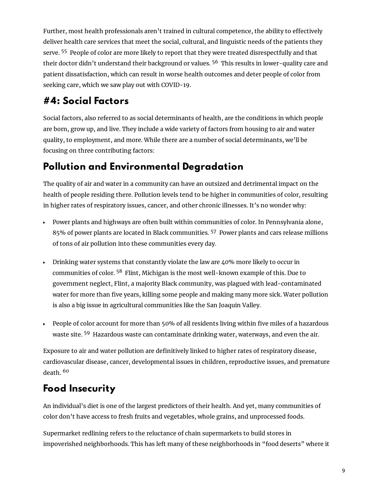Further, most health professionals aren't trained in cultural competence, the ability to effectively deliver health care services that meet the social, cultural, and linguistic needs of the patients they serve. <sup>55</sup> People of color are more likely to report that they were treated disrespectfully and that their doctor didn't understand their background or values. <sup>56</sup> This results in lower-quality care and patient dissatisfaction, which can result in worse health outcomes and deter people of color from seeking care, which we saw play out with COVID-19.

## **#4: Social Factors**

Social factors, also referred to as social determinants of health, are the conditions in which people are born, grow up, and live. They include a wide variety of factors from housing to air and water quality, to employment, and more. While there are a number of social determinants, we'll be focusing on three contributing factors:

## **Pollution and Environmental Degradation**

The quality of air and water in a community can have an outsized and detrimental impact on the health of people residing there. Pollution levels tend to be higher in communities of color, resulting in higher rates of respiratory issues, cancer, and other chronic illnesses. It's no wonder why:

- Power plants and highways are often built within communities of color. In Pennsylvania alone, 85% of power plants are located in Black communities. <sup>57</sup> Power plants and cars release millions of tons of air pollution into these communities every day.
- Drinking water systems that constantly violate the law are 40% more likely to occur in communities of color. <sup>58</sup> Flint, Michigan is the most well-known example of this. Due to government neglect, Flint, a majority Black community, was plagued with lead-contaminated water for more than five years, killing some people and making many more sick. Water pollution is also a big issue in agricultural communities like the San Joaquin Valley.
- People of color account for more than 50% of all residents living within five miles of a hazardous waste site. <sup>59</sup> Hazardous waste can contaminate drinking water, waterways, and even the air.

Exposure to air and water pollution are definitively linked to higher rates of respiratory disease, cardiovascular disease, cancer, developmental issues in children, reproductive issues, and premature death. <sup>60</sup>

## **Food Insecurity**

An individual's diet is one of the largest predictors of their health. And yet, many communities of color don't have access to fresh fruits and vegetables, whole grains, and unprocessed foods.

Supermarket redlining refers to the reluctance of chain supermarkets to build stores in impoverished neighborhoods. This has left many of these neighborhoods in "food deserts" where it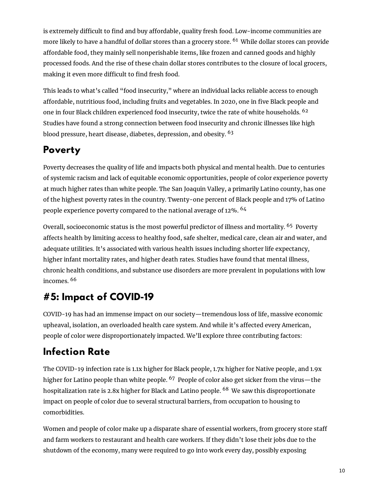is extremely difficult to find and buy affordable, quality fresh food. Low-income communities are more likely to have a handful of dollar stores than a grocery store. <sup>61</sup> While dollar stores can provide affordable food, they mainly sell nonperishable items, like frozen and canned goods and highly processed foods. And the rise of these chain dollar stores contributes to the closure of local grocers, making it even more difficult to find fresh food.

This leads to what's called "food insecurity," where an individual lacks reliable access to enough affordable, nutritious food, including fruits and vegetables. In 2020, one in five Black people and one in four Black children experienced food insecurity, twice the rate of white households. <sup>62</sup> Studies have found a strong connection between food insecurity and chronic illnesses like high blood pressure, heart disease, diabetes, depression, and obesity. <sup>63</sup>

# **Poverty**

Poverty decreases the quality of life and impacts both physical and mental health. Due to centuries of systemic racism and lack of equitable economic opportunities, people of color experience poverty at much higher rates than white people. The San Joaquin Valley, a primarily Latino county, has one of the highest poverty rates in the country. Twenty-one percent of Black people and 17% of Latino people experience poverty compared to the national average of 12%. <sup>64</sup>

Overall, socioeconomic status is the most powerful predictor of illness and mortality. <sup>65</sup> Poverty affects health by limiting access to healthy food, safe shelter, medical care, clean air and water, and adequate utilities. It's associated with various health issues including shorter life expectancy, higher infant mortality rates, and higher death rates. Studies have found that mental illness, chronic health conditions, and substance use disorders are more prevalent in populations with low incomes. <sup>66</sup>

# **#5: Impact of COVID-19**

COVID-19 has had an immense impact on our society—tremendous loss of life, massive economic upheaval, isolation, an overloaded health care system. And while it's affected every American, people of color were disproportionately impacted. We'll explore three contributing factors:

# **Infection Rate**

The COVID-19 infection rate is 1.1x higher for Black people, 1.7x higher for Native people, and 1.9x higher for Latino people than white people. <sup>67</sup> People of color also get sicker from the virus—the hospitalization rate is 2.8x higher for Black and Latino people. <sup>68</sup> We saw this disproportionate impact on people of color due to several structural barriers, from occupation to housing to comorbidities.

Women and people of color make up a disparate share of essential workers, from grocery store staff and farm workers to restaurant and health care workers. If they didn't lose their jobs due to the shutdown of the economy, many were required to go into work every day, possibly exposing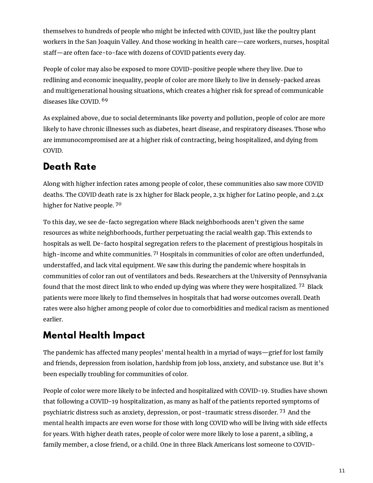themselves to hundreds of people who might be infected with COVID, just like the poultry plant workers in the San Joaquin Valley. And those working in health care—care workers, nurses, hospital staff-are often face-to-face with dozens of COVID patients every day.

People of color may also be exposed to more COVID-positive people where they live. Due to redlining and economic inequality, people of color are more likely to live in densely-packed areas and multigenerational housing situations, which creates a higher risk for spread of communicable diseases like COVID. <sup>69</sup>

As explained above, due to social determinants like poverty and pollution, people of color are more likely to have chronic illnesses such as diabetes, heart disease, and respiratory diseases. Those who are immunocompromised are at a higher risk of contracting, being hospitalized, and dying from COVID.

## **Death Rate**

Along with higher infection rates among people of color, these communities also saw more COVID deaths. The COVID death rate is 2x higher for Black people, 2.3x higher for Latino people, and 2.4x higher for Native people. <sup>70</sup>

To this day, we see de-facto segregation where Black neighborhoods aren't given the same resources as white neighborhoods, further perpetuating the racial wealth gap. This extends to hospitals as well. De-facto hospital segregation refers to the placement of prestigious hospitals in high-income and white communities.  $7<sup>1</sup>$  Hospitals in communities of color are often underfunded, understaffed, and lack vital equipment. We saw this during the pandemic where hospitals in communities of color ran out of ventilators and beds. Researchers at the University of Pennsylvania found that the most direct link to who ended up dying was where they were hospitalized. <sup>72</sup> Black patients were more likely to find themselves in hospitals that had worse outcomes overall. Death rates were also higher among people of color due to comorbidities and medical racism as mentioned earlier.

## **Mental Health Impact**

The pandemic has affected many peoples' mental health in a myriad of ways—grief for lost family and friends, depression from isolation, hardship from job loss, anxiety, and substance use. But it's been especially troubling for communities of color.

People of color were more likely to be infected and hospitalized with COVID-19. Studies have shown that following a COVID-19 hospitalization, as many as half of the patients reported symptoms of psychiatric distress such as anxiety, depression, or post-traumatic stress disorder. <sup>73</sup> And the mental health impacts are even worse for those with long COVID who will be living with side effects for years. With higher death rates, people of color were more likely to lose a parent, a sibling, a family member, a close friend, or a child. One in three Black Americans lost someone to COVID-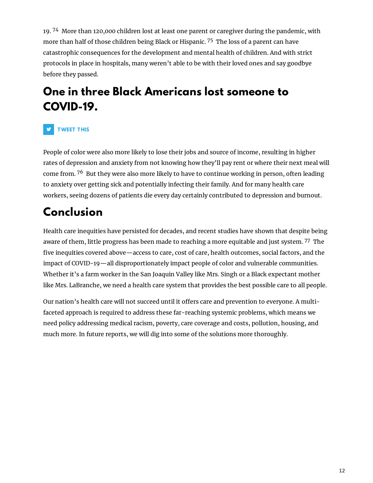19. <sup>74</sup> More than 120,000 children lost at least one parent or caregiver during the pandemic, with more than half of those children being Black or Hispanic. <sup>75</sup> The loss of a parent can have catastrophic consequences for the development and mental health of children. And with strict protocols in place in hospitals, many weren't able to be with their loved ones and say goodbye before they passed.

# **One in three Black Americans lost someone to COVID-19.**

### **TWEET T HIS**

People of color were also more likely to lose their jobs and source of income, resulting in higher rates of depression and anxiety from not knowing how they'll pay rent or where their next meal will come from. <sup>76</sup> But they were also more likely to have to continue working in person, often leading to anxiety over getting sick and potentially infecting their family. And for many health care workers, seeing dozens of patients die every day certainly contributed to depression and burnout.

# **Conclusion**

Health care inequities have persisted for decades, and recent studies have shown that despite being aware of them, little progress has been made to reaching a more equitable and just system. <sup>77</sup> The five inequities covered above—access to care, cost of care, health outcomes, social factors, and the impact of COVID-19—all disproportionately impact people of color and vulnerable communities. Whether it's a farm worker in the San Joaquin Valley like Mrs. Singh or a Black expectant mother like Mrs. LaBranche, we need a health care system that provides the best possible care to all people.

Our nation's health care will not succeed until it offers care and prevention to everyone. A multifaceted approach is required to address these far-reaching systemic problems, which means we need policy addressing medical racism, poverty, care coverage and costs, pollution, housing, and much more. In future reports, we will dig into some of the solutions more thoroughly.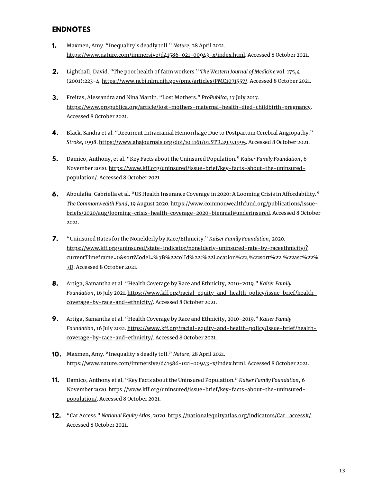### **ENDNOTES**

- Maxmen, Amy. "Inequality's deadly toll." *Nature*, 28 April 2021. [https://www.nature.com/immersive/d41586-021-00943-x/index.html.](https://www.nature.com/immersive/d41586-021-00943-x/index.html) Accessed 8 October 2021. **1.**
- Lighthall, David. "The poor health of farm workers." *The Western Journal of Medicine* vol. 175,4 (2001):223-4. <https://www.ncbi.nlm.nih.gov/pmc/articles/PMC1071557/>. Accessed 8 October 2021. **2.**
- Freitas, Alessandra and Nina Martin. "Lost Mothers." *ProPublica*, 17 July 2017. **3.** <https://www.propublica.org/article/lost-mothers-maternal-health-died-childbirth-pregnancy>. Accessed 8 October 2021.
- Black, Sandra et al. "Recurrent Intracranial Hemorrhage Due to Postpartum Cerebral Angiopathy." *Stroke*, 1998. [https://www.ahajournals.org/doi/10.1161/01.STR.29.9.1995.](https://www.ahajournals.org/doi/10.1161/01.STR.29.9.1995) Accessed 8 October 2021. **4.**
- Damico, Anthony, et al. "Key Facts about the Uninsured Population." *Kaiser Family Foundation*, 6 November 2020. https://www.kff.org/uninsured/issue-brief/key-facts-about-the-uninsuredpopulation/. Accessed 8 October 2021. **5.**
- **6.** Aboulafia, Gabriella et al. "US Health Insurance Coverage in 2020: A Looming Crisis in Affordability." *The Commonwealth Fund*, 19 August 2020. https://www.commonwealthfund.org/publications/issue[briefs/2020/aug/looming-crisis-health-coverage-2020-biennial#underinsured.](https://www.commonwealthfund.org/publications/issue-briefs/2020/aug/looming-crisis-health-coverage-2020-biennial#underinsured) Accessed 8 October 2021.
- "Uninsured Rates for the Nonelderly by Race/Ethnicity." *Kaiser Family Foundation*, 2020. https://www.kff.org/uninsured/state-indicator/nonelderly-uninsured-rate-by-raceethnicity/? [currentTimeframe=0&sortModel=%7B%22colId%22:%22Location%22,%22sort%22:%22asc%22%](https://www.kff.org/uninsured/state-indicator/nonelderly-uninsured-rate-by-raceethnicity/?currentTimeframe=0&sortModel=%7B%22colId%22:%22Location%22,%22sort%22:%22asc%22%7D) 7D. Accessed 8 October 2021. **7.**
- Artiga, Samantha et al. "Health Coverage by Race and Ethnicity, 2010-2019." *Kaiser Family Foundation*, 16 July 2021. https://www.kff.org/racial-equity-and-health-policy/issue-brief/healthcoverage-by-race-and-ethnicity/. Accessed 8 October 2021. **8.**
- Artiga, Samantha et al. "Health Coverage by Race and Ethnicity, 2010-2019." *Kaiser Family Foundation*, 16 July 2021. https://www.kff.org/racial-equity-and-health-policy/issue-brief/healthcoverage-by-race-and-ethnicity/. Accessed 8 October 2021. **9.**
- Maxmen, Amy. "Inequality's deadly toll." *Nature*, 28 April 2021. **10.** [https://www.nature.com/immersive/d41586-021-00943-x/index.html.](https://www.nature.com/immersive/d41586-021-00943-x/index.html) Accessed 8 October 2021.
- Damico, Anthony et al. "Key Facts about the Uninsured Population." *Kaiser Family Foundation*, 6 **11.** November 2020. https://www.kff.org/uninsured/issue-brief/key-facts-about-the-uninsuredpopulation/. Accessed 8 October 2021.
- "Car Access." *National Equity Atlas*, 2020. [https://nationalequityatlas.org/indicators/Car\\_access#/.](https://nationalequityatlas.org/indicators/Car_access#/) **12.**Accessed 8 October 2021.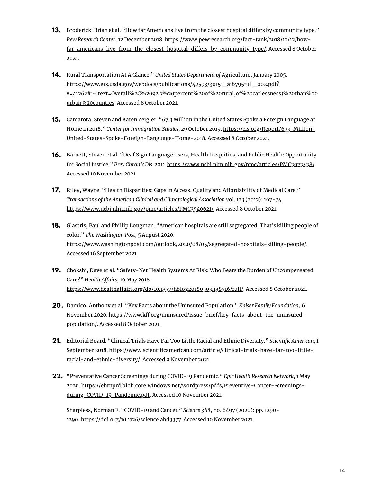- **13.** Broderick, Brian et al. "How far Americans live from the closest hospital differs by community type." *Pew Research Center*, 12 December 2018. https://www.pewresearch.org/fact-tank/2018/12/12/howfar-americans-live-from-the-closest-hospital-differs-by-community-type/. Accessed 8 October 2021.
- Rural Transportation At A Glance." *United States Department of* Agriculture, January 2005. **14.** https://www.ers.usda.gov/webdocs/publications/42593/30151\_aib795full\_002.pdf? [v=41262#:~:text=Overall%2C%2092.7%20percent%20of%20rural,of%20carlessness\)%20than%20](https://www.ers.usda.gov/webdocs/publications/42593/30151_aib795full_002.pdf?v=41262#:~:text=Overall%2C%2092.7%20percent%20of%20rural,of%20carlessness)%20than%20urban%20counties) urban%20counties. Accessed 8 October 2021.
- **15.** Camarota, Steven and Karen Zeigler. "67.3 Million in the United States Spoke a Foreign Language at Home in 2018." *Center for Immigration Studies,* 29 October 2019. https://cis.org/Report/673-Million-[United-States-Spoke-Foreign-Language-Home-2018.](https://cis.org/Report/673-Million-United-States-Spoke-Foreign-Language-Home-2018) Accessed 8 October 2021.
- Barnett, Steven et al. "Deaf Sign Language Users, Health Inequities, and Public Health: Opportunity **16.** for Social Justice." *Prev Chronic Dis.* 2011*.* [https://www.ncbi.nlm.nih.gov/pmc/articles/PMC3073438/.](https://www.ncbi.nlm.nih.gov/pmc/articles/PMC3073438/) Accessed 10 November 2021.
- **17.** Riley, Wayne. "Health Disparities: Gaps in Access, Quality and Affordability of Medical Care." *Transactions of the American Clinical and Climatological Association* vol. 123 (2012): 167-74. [https://www.ncbi.nlm.nih.gov/pmc/articles/PMC3540621/.](https://www.ncbi.nlm.nih.gov/pmc/articles/PMC3540621/) Accessed 8 October 2021.
- Glastris, Paul and Phillip Longman. "American hospitals are still segregated. That's killing people of **18.** color." *The Washington Post*, 5 August 2020. [https://www.washingtonpost.com/outlook/2020/08/05/segregated-hospitals-killing-people/.](https://www.washingtonpost.com/outlook/2020/08/05/segregated-hospitals-killing-people/) Accessed 16 September 2021.
- **19.** Chokshi, Dave et al. "Safety-Net Health Systems At Risk: Who Bears the Burden of Uncompensated Care?" *Health Affairs*, 10 May 2018. https://www.healthaffairs.org/do/10.1377/hblog20180503.138516/full/. Accessed 8 October 2021.
- Damico, Anthony et al. "Key Facts about the Uninsured Population." *Kaiser Family Foundation*, 6 **20.** November 2020. https://www.kff.org/uninsured/issue-brief/key-facts-about-the-uninsuredpopulation/. Accessed 8 October 2021.
- Editorial Board. "Clinical Trials Have Far Too Little Racial and Ethnic Diversity." *Scientic American,* 1 **21.** September 2018. https://www.scientificamerican.com/article/clinical-trials-have-far-too-littleracial-and-ethnic-diversity/. Accessed 9 November 2021.
- "Preventative Cancer Screenings during COVID-19 Pandemic." *Epic Health Research Network,* 1 May **22.**2020. [https://ehrnprd.blob.core.windows.net/wordpress/pdfs/Preventive-Cancer-Screenings](https://ehrnprd.blob.core.windows.net/wordpress/pdfs/Preventive-Cancer-Screenings-during-COVID-19-Pandemic.pdf)during-COVID-19-Pandemic.pdf. Accessed 10 November 2021.

Sharpless, Norman E. "COVID-19 and Cancer." *Science* 368, no. 6497 (2020): pp. 1290- 1290, <https://doi.org/10.1126/science.abd3377>. Accessed 10 November 2021.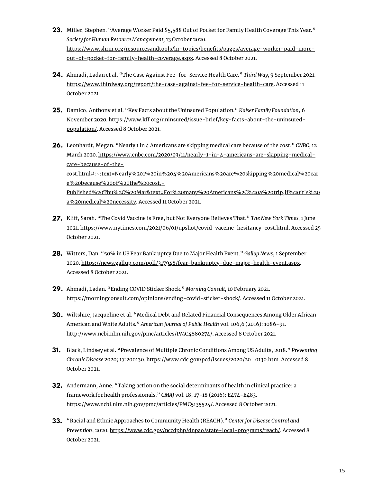- Miller, Stephen. "Average Worker Paid \$5,588 Out of Pocket for Family Health Coverage This Year." **23.** *Society for Human Resource Management,* 13 October 2020. [https://www.shrm.org/resourcesandtools/hr-topics/benets/pages/average-worker-paid-more](https://www.shrm.org/resourcesandtools/hr-topics/benefits/pages/average-worker-paid-more-out-of-pocket-for-family-health-coverage.aspx)out-of-pocket-for-family-health-coverage.aspx. Accessed 8 October 2021.
- Ahmadi, Ladan et al. "The Case Against Fee-for-Service Health Care." *Third Way,* 9 September 2021. **24.** <https://www.thirdway.org/report/the-case-against-fee-for-service-health-care>. Accessed 11 October 2021.
- Damico, Anthony et al. "Key Facts about the Uninsured Population." *Kaiser Family Foundation*, 6 **25.** November 2020. https://www.kff.org/uninsured/issue-brief/key-facts-about-the-uninsuredpopulation/. Accessed 8 October 2021.
- Leonhardt, Megan. "Nearly 1 in 4 Americans are skipping medical care because of the cost." *CNBC,* 12 **26.** March 2020. https://www.cnbc.com/2020/03/11/nearly-1-in-4-americans-are-skipping-medicalcare-because-of-thecost.html#:~:text=Nearly%201%20in%204%20Americans%20are%20skipping%20medical%20car e%20because%20of%20the%20cost,- [Published%20Thu%2C%20Mar&text=For%20many%20Americans%2C%20a%20trip,if%20it's%20](https://www.cnbc.com/2020/03/11/nearly-1-in-4-americans-are-skipping-medical-care-because-of-the-cost.html#:~:text=Nearly%201%20in%204%20Americans%20are%20skipping%20medical%20care%20because%20of%20the%20cost,-Published%20Thu%2C%20Mar&text=For%20many%20Americans%2C%20a%20trip,if%20it) a%20medical%20necessity. Accessed 11 October 2021.
- Kli, Sarah. "The Covid Vaccine is Free, but Not Everyone Believes That." *The New York Times,* 1 June **27.** 2021. <https://www.nytimes.com/2021/06/01/upshot/covid-vaccine-hesitancy-cost.html>. Accessed 25 October 2021.
- Witters, Dan. "50% in US Fear Bankruptcy Due to Major Health Event." *Gallup News*, 1 September **28.** 2020. <https://news.gallup.com/poll/317948/fear-bankruptcy-due-major-health-event.aspx>. Accessed 8 October 2021.
- Ahmadi, Ladan. "Ending COVID Sticker Shock." *Morning Consult,* 10 February 2021. **29.** <https://morningconsult.com/opinions/ending-covid-sticker-shock/>. Accessed 11 October 2021.
- **30.** Wiltshire, Jacqueline et al. "Medical Debt and Related Financial Consequences Among Older African American and White Adults." *American Journal of Public Health* vol. 106,6 (2016): 1086-91. [http://www.ncbi.nlm.nih.gov/pmc/articles/PMC4880274/.](http://www.ncbi.nlm.nih.gov/pmc/articles/PMC4880274/) Accessed 8 October 2021.
- Black, Lindsey et al. "Prevalence of Multiple Chronic Conditions Among US Adults, 2018." *Preventing* **31.** *Chronic Disease* 2020; 17:200130. [https://www.cdc.gov/pcd/issues/2020/20\\_0130.htm](https://www.cdc.gov/pcd/issues/2020/20_0130.htm). Accessed 8 October 2021.
- Andermann, Anne. "Taking action on the social determinants of health in clinical practice: a **32.** framework for health professionals." *CMAJ* vol. 18, 17-18 (2016): E474-E483. <https://www.ncbi.nlm.nih.gov/pmc/articles/PMC5135524/>. Accessed 8 October 2021.
- "Racial and Ethnic Approaches to Community Health (REACH)." *Center for Disease Control and* **33.***Prevention*, 2020. [https://www.cdc.gov/nccdphp/dnpao/state-local-programs/reach/.](https://www.cdc.gov/nccdphp/dnpao/state-local-programs/reach/) Accessed 8 October 2021.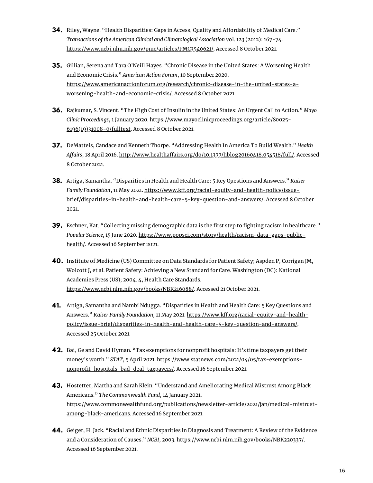- **34.** Riley, Wayne. "Health Disparities: Gaps in Access, Quality and Affordability of Medical Care." *Transactions of the American Clinical and Climatological Association* vol. 123 (2012): 167-74. [https://www.ncbi.nlm.nih.gov/pmc/articles/PMC3540621/.](https://www.ncbi.nlm.nih.gov/pmc/articles/PMC3540621/) Accessed 8 October 2021.
- Gillian, Serena and Tara O'Neill Hayes. "Chronic Disease in the United States: A Worsening Health **35.** and Economic Crisis." *American Action Forum*, 10 September 2020. [https://www.americanactionforum.org/research/chronic-disease-in-the-united-states-a](https://www.americanactionforum.org/research/chronic-disease-in-the-united-states-a-worsening-health-and-economic-crisis/)worsening-health-and-economic-crisis/. Accessed 8 October 2021.
- Rajkumar, S. Vincent. "The High Cost of Insulin in the United States: An Urgent Call to Action." *Mayo* **36.** *Clinic Proceedings*, 1 January 2020. [https://www.mayoclinicproceedings.org/article/S0025-](https://www.mayoclinicproceedings.org/article/S0025-6196(19)31008-0/fulltext) 6196(19)31008-0/fulltext. Accessed 8 October 2021.
- **37.** DeMatteis, Candace and Kenneth Thorpe. "Addressing Health In America To Build Wealth." *Health* Affairs, 18 April 2016. http://www.healthaffairs.org/do/10.1377/hblog20160418.054518/full/. Accessed 8 October 2021.
- Artiga, Samantha. "Disparities in Health and Health Care: 5 Key Questions and Answers." *Kaiser* **38.** *Family Foundation*, 11 May 2021. https://www.kff.org/racial-equity-and-health-policy/issue[brief/disparities-in-health-and-health-care-5-key-question-and-answers/.](https://www.kff.org/racial-equity-and-health-policy/issue-brief/disparities-in-health-and-health-care-5-key-question-and-answers/) Accessed 8 October 2021.
- **39.** Eschner, Kat. "Collecting missing demographic data is the first step to fighting racism in healthcare." *Popular Science,* 15 June 2020. [https://www.popsci.com/story/health/racism-data-gaps-public](https://www.popsci.com/story/health/racism-data-gaps-public-health/)health/. Accessed 16 September 2021.
- Institute of Medicine (US) Committee on Data Standards for Patient Safety; Aspden P, Corrigan JM, **40.** Wolcott J, et al. Patient Safety: Achieving a New Standard for Care. Washington (DC): National Academies Press (US); 2004. 4, Health Care Standards. [https://www.ncbi.nlm.nih.gov/books/NBK216088/.](https://www.ncbi.nlm.nih.gov/books/NBK216088/) Accessed 21 October 2021.
- Artiga, Samantha and Nambi Ndugga. "Disparities in Health and Health Care: 5 Key Questions and **41.** Answers." *Kaiser Family Foundation*, 11 May 2021. https://www.kff.org/racial-equity-and-health[policy/issue-brief/disparities-in-health-and-health-care-5-key-question-and-answers/.](https://www.kff.org/racial-equity-and-health-policy/issue-brief/disparities-in-health-and-health-care-5-key-question-and-answers/) Accessed 25 October 2021.
- **42.** Bai, Ge and David Hyman. "Tax exemptions for nonprofit hospitals: It's time taxpayers get their money's worth." *STAT*, 5 April 2021. [https://www.statnews.com/2021/04/05/tax-exemptions](https://www.statnews.com/2021/04/05/tax-exemptions-nonprofit-hospitals-bad-deal-taxpayers/)nonprofit-hospitals-bad-deal-taxpayers/. Accessed 16 September 2021.
- Hostetter, Martha and Sarah Klein. "Understand and Ameliorating Medical Mistrust Among Black **43.** Americans." *The Commonwealth Fund*, 14 January 2021. [https://www.commonwealthfund.org/publications/newsletter-article/2021/jan/medical-mistrust](https://www.commonwealthfund.org/publications/newsletter-article/2021/jan/medical-mistrust-among-black-americans)among-black-americans. Accessed 16 September 2021.
- Geiger, H. Jack. "Racial and Ethnic Disparities in Diagnosis and Treatment: A Review of the Evidence **44.**and a Consideration of Causes." *NCBI*, 2003. [https://www.ncbi.nlm.nih.gov/books/NBK220337/.](https://www.ncbi.nlm.nih.gov/books/NBK220337/) Accessed 16 September 2021.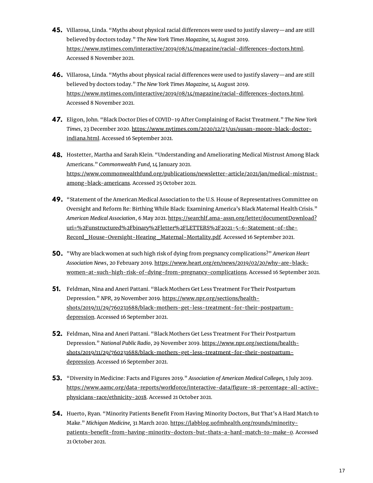- **45.** Villarosa, Linda. "Myths about physical racial differences were used to justify slavery—and are still believed by doctors today." *The New York Times Magazine,* 14 August 2019. https://www.nytimes.com/interactive/2019/08/14/magazine/racial-differences-doctors.html. Accessed 8 November 2021.
- **46.** Villarosa, Linda. "Myths about physical racial differences were used to justify slavery—and are still believed by doctors today." *The New York Times Magazine,* 14 August 2019. https://www.nytimes.com/interactive/2019/08/14/magazine/racial-differences-doctors.html. Accessed 8 November 2021.
- Eligon, John. "Black Doctor Dies of COVID-19 After Complaining of Racist Treatment." *The New York* **47.** *Times*, 23 December 2020. [https://www.nytimes.com/2020/12/23/us/susan-moore-black-doctor](https://www.nytimes.com/2020/12/23/us/susan-moore-black-doctor-indiana.html)indiana.html. Accessed 16 September 2021.
- Hostetter, Martha and Sarah Klein. "Understanding and Ameliorating Medical Mistrust Among Black **48.** Americans." *Commonwealth Fund,* 14 January 2021. [https://www.commonwealthfund.org/publications/newsletter-article/2021/jan/medical-mistrust](https://www.commonwealthfund.org/publications/newsletter-article/2021/jan/medical-mistrust-among-black-americans)among-black-americans. Accessed 25 October 2021.
- **49.** "Statement of the American Medical Association to the U.S. House of Representatives Committee on Oversight and Reform Re: Birthing While Black: Examining America's Black Maternal Health Crisis." *American Medical Association*, 6 May 2021. https://searchlf.ama-assn.org/letter/documentDownload? [uri=%2Funstructured%2Fbinary%2Fletter%2FLETTERS%2F2021-5-6-Statement-of-the-](https://searchlf.ama-assn.org/letter/documentDownload?uri=%2Funstructured%2Fbinary%2Fletter%2FLETTERS%2F2021-5-6-Statement-of-the-Record_House-Oversight-Hearing_Maternal-Mortality.pdf)Record House-Oversight-Hearing Maternal-Mortality.pdf. Accessed 16 September 2021.
- "Why are black women at such high risk of dying from pregnancy complications?" *American Heart* **50.** *Association News*, 20 February 2019. https://www.heart.org/en/news/2019/02/20/why-are-black[women-at-such-high-risk-of-dying-from-pregnancy-complications.](https://www.heart.org/en/news/2019/02/20/why-are-black-women-at-such-high-risk-of-dying-from-pregnancy-complications) Accessed 16 September 2021.
- Feldman, Nina and Aneri Pattani. "Black Mothers Get Less Treatment For Their Postpartum **51.** Depression." *NPR*, 29 November 2019. https://www.npr.org/sections/health[shots/2019/11/29/760231688/black-mothers-get-less-treatment-for-their-postpartum](https://www.npr.org/sections/health-shots/2019/11/29/760231688/black-mothers-get-less-treatment-for-their-postpartum-depression)depression. Accessed 16 September 2021.
- Feldman, Nina and Aneri Pattani. "Black Mothers Get Less Treatment For Their Postpartum **52.** Depression." *National Public Radio*, 29 November 2019. https://www.npr.org/sections/health[shots/2019/11/29/760231688/black-mothers-get-less-treatment-for-their-postpartum](https://www.npr.org/sections/health-shots/2019/11/29/760231688/black-mothers-get-less-treatment-for-their-postpartum-depression)depression. Accessed 16 September 2021.
- "Diversity in Medicine: Facts and Figures 2019." *Association of American Medical Colleges,* 1 July 2019. **53.** https://www.aamc.org/data-reports/workforce/interactive-data/figure-18-percentage-all-activephysicians-race/ethnicity-2018. Accessed 21 October 2021.
- **54.** Huerto, Ryan. "Minority Patients Benefit From Having Minority Doctors, But That's A Hard Match to Make." *Michigan Medicine,* 31 March 2020. https://labblog.uofmhealth.org/rounds/minoritypatients-benefit-from-having-minority-doctors-but-thats-a-hard-match-to-make-0. Accessed 21 October 2021.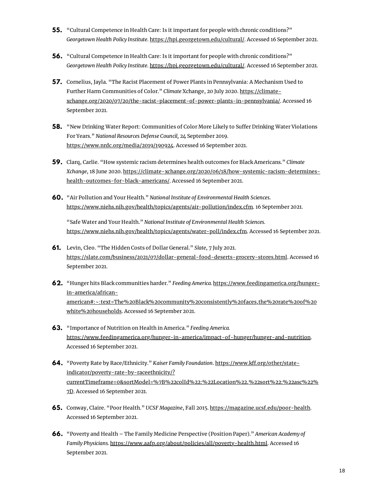- **55.** "Cultural Competence in Health Care: Is it important for people with chronic conditions?" *Georgetown Health Policy Institute*. <https://hpi.georgetown.edu/cultural/>. Accessed 16 September 2021.
- "Cultural Competence in Health Care: Is it important for people with chronic conditions?" **56.** *Georgetown Health Policy Institute*. <https://hpi.georgetown.edu/cultural/>. Accessed 16 September 2021.
- **57.** Cornelius, Jayla. "The Racist Placement of Power Plants in Pennsylvania: A Mechanism Used to Further Harm Communities of Color." *Climate* Xchange, 20 July 2020. https://climate[xchange.org/2020/07/20/the-racist-placement-of-power-plants-in-pennsylvania/.](https://climate-xchange.org/2020/07/20/the-racist-placement-of-power-plants-in-pennsylvania/) Accessed 16 September 2021.
- **58.** "New Drinking Water Report: Communities of Color More Likely to Suffer Drinking Water Violations For Years." *National Resources Defense Council,* 24 September 2019. [https://www.nrdc.org/media/2019/190924.](https://www.nrdc.org/media/2019/190924) Accessed 16 September 2021.
- Clarq, Carlie. "How systemic racism determines health outcomes for Black Americans." *Climate* **59.** *Xchange*, 18 June 2020. [https://climate-xchange.org/2020/06/18/how-systemic-racism-determines](https://climate-xchange.org/2020/06/18/how-systemic-racism-determines-health-outcomes-for-black-americans/)health-outcomes-for-black-americans/. Accessed 16 September 2021.
- "Air Pollution and Your Health." *National Institute of Environmental Health Sciences*. **60.** [https://www.niehs.nih.gov/health/topics/agents/air-pollution/index.cfm.](https://www.niehs.nih.gov/health/topics/agents/air-pollution/index.cfm) 16 September 2021.

"Safe Water and Your Health." *National Institute of Environmental Health Sciences.* <https://www.niehs.nih.gov/health/topics/agents/water-poll/index.cfm>. Accessed 16 September 2021.

- Levin, Cleo. "The Hidden Costs of Dollar General." *Slate*, 7 July 2021. **61.** [https://slate.com/business/2021/07/dollar-general-food-deserts-grocery-stores.html.](https://slate.com/business/2021/07/dollar-general-food-deserts-grocery-stores.html) Accessed 16 September 2021.
- "Hunger hits Black communities harder." *Feeding America.* https://www.feedingamerica.org/hunger-**62.** in-america/african[american#:~:text=The%20Black%20community%20consistently%20faces,the%20rate%20of%20](https://www.feedingamerica.org/hunger-in-america/african-american#:~:text=The%20Black%20community%20consistently%20faces,the%20rate%20of%20white%20households) white%20households. Accessed 16 September 2021.
- "Importance of Nutrition on Health in America." *Feeding America.* **63.** <https://www.feedingamerica.org/hunger-in-america/impact-of-hunger/hunger-and-nutrition>. Accessed 16 September 2021.
- **64.** "Poverty Rate by Race/Ethnicity." Kaiser Family Foundation. <u>https://www.kff.org/other/state-</u> indicator/poverty-rate-by-raceethnicity/? [currentTimeframe=0&sortModel=%7B%22colId%22:%22Location%22,%22sort%22:%22asc%22%](https://www.kff.org/other/state-indicator/poverty-rate-by-raceethnicity/?currentTimeframe=0&sortModel=%7B%22colId%22:%22Location%22,%22sort%22:%22asc%22%7D) 7D. Accessed 16 September 2021.
- Conway, Claire. "Poor Health." *UCSF Magazine*, Fall 2015. <https://magazine.ucsf.edu/poor-health>. **65.** Accessed 16 September 2021.
- "Poverty and Health The Family Medicine Perspective (Position Paper)." *American Academy of* **66.***Family Physicians.* <https://www.aafp.org/about/policies/all/poverty-health.html>. Accessed 16 September 2021.